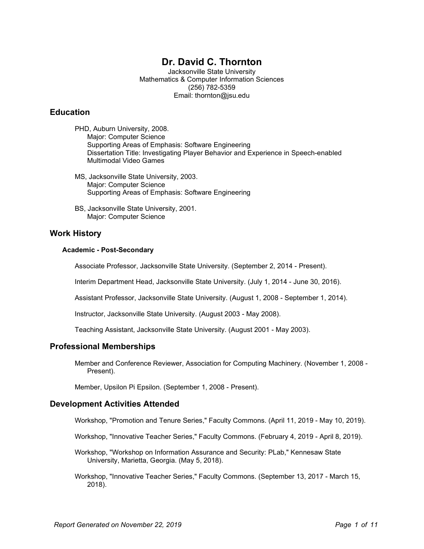# Dr. David C. Thornton

Jacksonville State University Mathematics & Computer Information Sciences (256) 782-5359 Email: thornton@jsu.edu

# **Education**

PHD, Auburn University, 2008. Major: Computer Science Supporting Areas of Emphasis: Software Engineering Dissertation Title: Investigating Player Behavior and Experience in Speech-enabled Multimodal Video Games

- MS, Jacksonville State University, 2003. Major: Computer Science Supporting Areas of Emphasis: Software Engineering
- BS, Jacksonville State University, 2001. Major: Computer Science

# Work History

### Academic - Post-Secondary

Associate Professor, Jacksonville State University. (September 2, 2014 - Present).

Interim Department Head, Jacksonville State University. (July 1, 2014 - June 30, 2016).

Assistant Professor, Jacksonville State University. (August 1, 2008 - September 1, 2014).

Instructor, Jacksonville State University. (August 2003 - May 2008).

Teaching Assistant, Jacksonville State University. (August 2001 - May 2003).

# Professional Memberships

Member and Conference Reviewer, Association for Computing Machinery. (November 1, 2008 - Present).

Member, Upsilon Pi Epsilon. (September 1, 2008 - Present).

### Development Activities Attended

Workshop, "Promotion and Tenure Series," Faculty Commons. (April 11, 2019 - May 10, 2019).

Workshop, "Innovative Teacher Series," Faculty Commons. (February 4, 2019 - April 8, 2019).

- Workshop, "Workshop on Information Assurance and Security: PLab," Kennesaw State University, Marietta, Georgia. (May 5, 2018).
- Workshop, "Innovative Teacher Series," Faculty Commons. (September 13, 2017 March 15, 2018).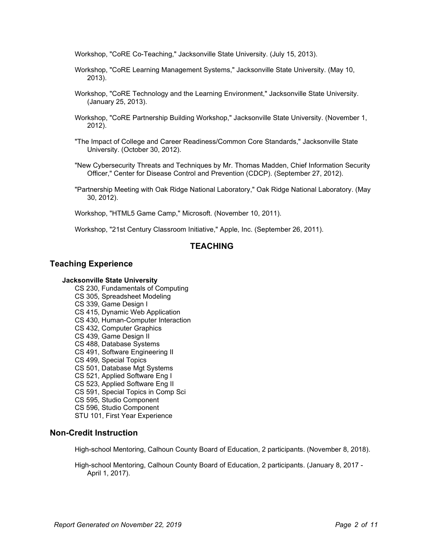Workshop, "CoRE Co-Teaching," Jacksonville State University. (July 15, 2013).

- Workshop, "CoRE Learning Management Systems," Jacksonville State University. (May 10, 2013).
- Workshop, "CoRE Technology and the Learning Environment," Jacksonville State University. (January 25, 2013).
- Workshop, "CoRE Partnership Building Workshop," Jacksonville State University. (November 1, 2012).
- "The Impact of College and Career Readiness/Common Core Standards," Jacksonville State University. (October 30, 2012).
- "New Cybersecurity Threats and Techniques by Mr. Thomas Madden, Chief Information Security Officer," Center for Disease Control and Prevention (CDCP). (September 27, 2012).
- "Partnership Meeting with Oak Ridge National Laboratory," Oak Ridge National Laboratory. (May 30, 2012).

Workshop, "HTML5 Game Camp," Microsoft. (November 10, 2011).

Workshop, "21st Century Classroom Initiative," Apple, Inc. (September 26, 2011).

# TEACHING

### Teaching Experience

### Jacksonville State University

- CS 230, Fundamentals of Computing
- CS 305, Spreadsheet Modeling
- CS 339, Game Design I
- CS 415, Dynamic Web Application
- CS 430, Human-Computer Interaction
- CS 432, Computer Graphics
- CS 439, Game Design II
- CS 488, Database Systems
- CS 491, Software Engineering II
- CS 499, Special Topics
- CS 501, Database Mgt Systems
- CS 521, Applied Software Eng I
- CS 523, Applied Software Eng II
- CS 591, Special Topics in Comp Sci
- CS 595, Studio Component
- CS 596, Studio Component
- STU 101, First Year Experience

### Non-Credit Instruction

High-school Mentoring, Calhoun County Board of Education, 2 participants. (November 8, 2018).

High-school Mentoring, Calhoun County Board of Education, 2 participants. (January 8, 2017 - April 1, 2017).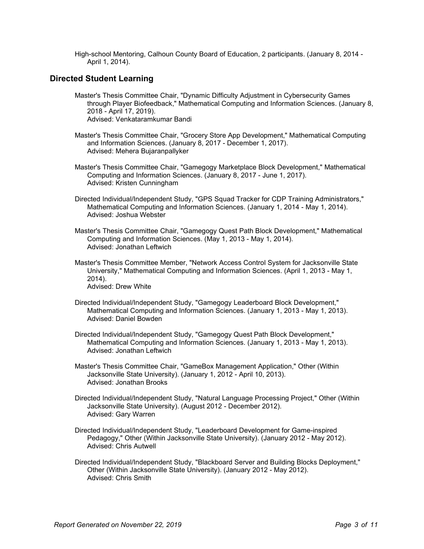High-school Mentoring, Calhoun County Board of Education, 2 participants. (January 8, 2014 - April 1, 2014).

# Directed Student Learning

- Master's Thesis Committee Chair, "Dynamic Difficulty Adjustment in Cybersecurity Games through Player Biofeedback," Mathematical Computing and Information Sciences. (January 8, 2018 - April 17, 2019). Advised: Venkataramkumar Bandi
- Master's Thesis Committee Chair, "Grocery Store App Development," Mathematical Computing and Information Sciences. (January 8, 2017 - December 1, 2017). Advised: Mehera Bujaranpallyker
- Master's Thesis Committee Chair, "Gamegogy Marketplace Block Development," Mathematical Computing and Information Sciences. (January 8, 2017 - June 1, 2017). Advised: Kristen Cunningham
- Directed Individual/Independent Study, "GPS Squad Tracker for CDP Training Administrators," Mathematical Computing and Information Sciences. (January 1, 2014 - May 1, 2014). Advised: Joshua Webster
- Master's Thesis Committee Chair, "Gamegogy Quest Path Block Development," Mathematical Computing and Information Sciences. (May 1, 2013 - May 1, 2014). Advised: Jonathan Leftwich
- Master's Thesis Committee Member, "Network Access Control System for Jacksonville State University," Mathematical Computing and Information Sciences. (April 1, 2013 - May 1, 2014). Advised: Drew White
- Directed Individual/Independent Study, "Gamegogy Leaderboard Block Development," Mathematical Computing and Information Sciences. (January 1, 2013 - May 1, 2013). Advised: Daniel Bowden
- Directed Individual/Independent Study, "Gamegogy Quest Path Block Development," Mathematical Computing and Information Sciences. (January 1, 2013 - May 1, 2013). Advised: Jonathan Leftwich
- Master's Thesis Committee Chair, "GameBox Management Application," Other (Within Jacksonville State University). (January 1, 2012 - April 10, 2013). Advised: Jonathan Brooks
- Directed Individual/Independent Study, "Natural Language Processing Project," Other (Within Jacksonville State University). (August 2012 - December 2012). Advised: Gary Warren
- Directed Individual/Independent Study, "Leaderboard Development for Game-inspired Pedagogy," Other (Within Jacksonville State University). (January 2012 - May 2012). Advised: Chris Autwell
- Directed Individual/Independent Study, "Blackboard Server and Building Blocks Deployment," Other (Within Jacksonville State University). (January 2012 - May 2012). Advised: Chris Smith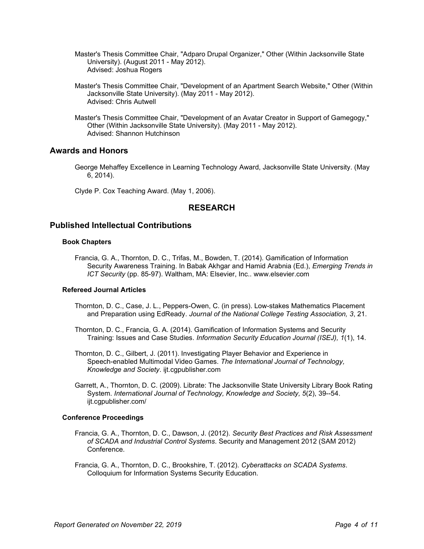- Master's Thesis Committee Chair, "Adparo Drupal Organizer," Other (Within Jacksonville State University). (August 2011 - May 2012). Advised: Joshua Rogers
- Master's Thesis Committee Chair, "Development of an Apartment Search Website," Other (Within Jacksonville State University). (May 2011 - May 2012). Advised: Chris Autwell
- Master's Thesis Committee Chair, "Development of an Avatar Creator in Support of Gamegogy," Other (Within Jacksonville State University). (May 2011 - May 2012). Advised: Shannon Hutchinson

# Awards and Honors

George Mehaffey Excellence in Learning Technology Award, Jacksonville State University. (May 6, 2014).

Clyde P. Cox Teaching Award. (May 1, 2006).

# RESEARCH

# Published Intellectual Contributions

### Book Chapters

Francia, G. A., Thornton, D. C., Trifas, M., Bowden, T. (2014). Gamification of Information Security Awareness Training. In Babak Akhgar and Hamid Arabnia (Ed.), Emerging Trends in ICT Security (pp. 85-97). Waltham, MA: Elsevier, Inc.. www.elsevier.com

### Refereed Journal Articles

- Thornton, D. C., Case, J. L., Peppers-Owen, C. (in press). Low-stakes Mathematics Placement and Preparation using EdReady. Journal of the National College Testing Association, 3, 21.
- Thornton, D. C., Francia, G. A. (2014). Gamification of Information Systems and Security Training: Issues and Case Studies. Information Security Education Journal (ISEJ), 1(1), 14.
- Thornton, D. C., Gilbert, J. (2011). Investigating Player Behavior and Experience in Speech-enabled Multimodal Video Games. The International Journal of Technology, Knowledge and Society. ijt.cgpublisher.com
- Garrett, A., Thornton, D. C. (2009). Librate: The Jacksonville State University Library Book Rating System. International Journal of Technology, Knowledge and Society, 5(2), 39--54. ijt.cgpublisher.com/

### Conference Proceedings

- Francia, G. A., Thornton, D. C., Dawson, J. (2012). Security Best Practices and Risk Assessment of SCADA and Industrial Control Systems. Security and Management 2012 (SAM 2012) Conference.
- Francia, G. A., Thornton, D. C., Brookshire, T. (2012). Cyberattacks on SCADA Systems. Colloquium for Information Systems Security Education.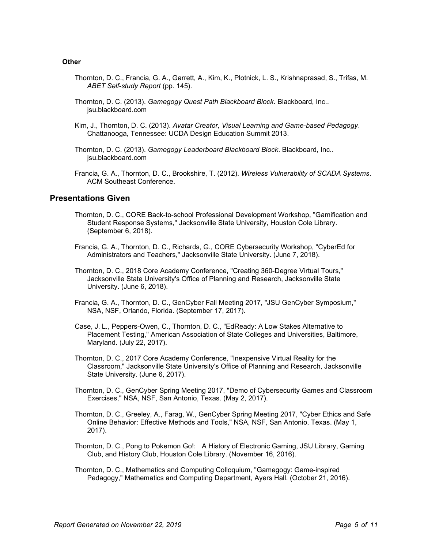#### **Other**

- Thornton, D. C., Francia, G. A., Garrett, A., Kim, K., Plotnick, L. S., Krishnaprasad, S., Trifas, M. ABET Self-study Report (pp. 145).
- Thornton, D. C. (2013). Gamegogy Quest Path Blackboard Block. Blackboard, Inc.. jsu.blackboard.com
- Kim, J., Thornton, D. C. (2013). Avatar Creator, Visual Learning and Game-based Pedagogy. Chattanooga, Tennessee: UCDA Design Education Summit 2013.
- Thornton, D. C. (2013). Gamegogy Leaderboard Blackboard Block. Blackboard, Inc.. jsu.blackboard.com
- Francia, G. A., Thornton, D. C., Brookshire, T. (2012). Wireless Vulnerability of SCADA Systems. ACM Southeast Conference.

# Presentations Given

- Thornton, D. C., CORE Back-to-school Professional Development Workshop, "Gamification and Student Response Systems," Jacksonville State University, Houston Cole Library. (September 6, 2018).
- Francia, G. A., Thornton, D. C., Richards, G., CORE Cybersecurity Workshop, "CyberEd for Administrators and Teachers," Jacksonville State University. (June 7, 2018).
- Thornton, D. C., 2018 Core Academy Conference, "Creating 360-Degree Virtual Tours," Jacksonville State University's Office of Planning and Research, Jacksonville State University. (June 6, 2018).
- Francia, G. A., Thornton, D. C., GenCyber Fall Meeting 2017, "JSU GenCyber Symposium," NSA, NSF, Orlando, Florida. (September 17, 2017).
- Case, J. L., Peppers-Owen, C., Thornton, D. C., "EdReady: A Low Stakes Alternative to Placement Testing," American Association of State Colleges and Universities, Baltimore, Maryland. (July 22, 2017).
- Thornton, D. C., 2017 Core Academy Conference, "Inexpensive Virtual Reality for the Classroom," Jacksonville State University's Office of Planning and Research, Jacksonville State University. (June 6, 2017).
- Thornton, D. C., GenCyber Spring Meeting 2017, "Demo of Cybersecurity Games and Classroom Exercises," NSA, NSF, San Antonio, Texas. (May 2, 2017).
- Thornton, D. C., Greeley, A., Farag, W., GenCyber Spring Meeting 2017, "Cyber Ethics and Safe Online Behavior: Effective Methods and Tools," NSA, NSF, San Antonio, Texas. (May 1, 2017).
- Thornton, D. C., Pong to Pokemon Go!: A History of Electronic Gaming, JSU Library, Gaming Club, and History Club, Houston Cole Library. (November 16, 2016).
- Thornton, D. C., Mathematics and Computing Colloquium, "Gamegogy: Game-inspired Pedagogy," Mathematics and Computing Department, Ayers Hall. (October 21, 2016).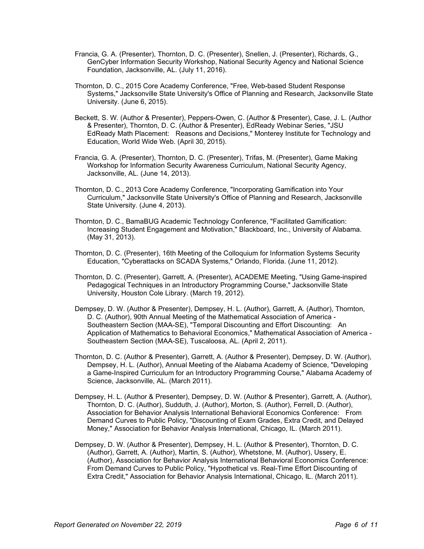- Francia, G. A. (Presenter), Thornton, D. C. (Presenter), Snellen, J. (Presenter), Richards, G., GenCyber Information Security Workshop, National Security Agency and National Science Foundation, Jacksonville, AL. (July 11, 2016).
- Thornton, D. C., 2015 Core Academy Conference, "Free, Web-based Student Response Systems," Jacksonville State University's Office of Planning and Research, Jacksonville State University. (June 6, 2015).
- Beckett, S. W. (Author & Presenter), Peppers-Owen, C. (Author & Presenter), Case, J. L. (Author & Presenter), Thornton, D. C. (Author & Presenter), EdReady Webinar Series, "JSU EdReady Math Placement: Reasons and Decisions," Monterey Institute for Technology and Education, World Wide Web. (April 30, 2015).
- Francia, G. A. (Presenter), Thornton, D. C. (Presenter), Trifas, M. (Presenter), Game Making Workshop for Information Security Awareness Curriculum, National Security Agency, Jacksonville, AL. (June 14, 2013).
- Thornton, D. C., 2013 Core Academy Conference, "Incorporating Gamification into Your Curriculum," Jacksonville State University's Office of Planning and Research, Jacksonville State University. (June 4, 2013).
- Thornton, D. C., BamaBUG Academic Technology Conference, "Facilitated Gamification: Increasing Student Engagement and Motivation," Blackboard, Inc., University of Alabama. (May 31, 2013).
- Thornton, D. C. (Presenter), 16th Meeting of the Colloquium for Information Systems Security Education, "Cyberattacks on SCADA Systems," Orlando, Florida. (June 11, 2012).
- Thornton, D. C. (Presenter), Garrett, A. (Presenter), ACADEME Meeting, "Using Game-inspired Pedagogical Techniques in an Introductory Programming Course," Jacksonville State University, Houston Cole Library. (March 19, 2012).
- Dempsey, D. W. (Author & Presenter), Dempsey, H. L. (Author), Garrett, A. (Author), Thornton, D. C. (Author), 90th Annual Meeting of the Mathematical Association of America - Southeastern Section (MAA-SE), "Temporal Discounting and Effort Discounting: An Application of Mathematics to Behavioral Economics," Mathematical Association of America - Southeastern Section (MAA-SE), Tuscaloosa, AL. (April 2, 2011).
- Thornton, D. C. (Author & Presenter), Garrett, A. (Author & Presenter), Dempsey, D. W. (Author), Dempsey, H. L. (Author), Annual Meeting of the Alabama Academy of Science, "Developing a Game-Inspired Curriculum for an Introductory Programming Course," Alabama Academy of Science, Jacksonville, AL. (March 2011).
- Dempsey, H. L. (Author & Presenter), Dempsey, D. W. (Author & Presenter), Garrett, A. (Author), Thornton, D. C. (Author), Sudduth, J. (Author), Morton, S. (Author), Ferrell, D. (Author), Association for Behavior Analysis International Behavioral Economics Conference: From Demand Curves to Public Policy, "Discounting of Exam Grades, Extra Credit, and Delayed Money," Association for Behavior Analysis International, Chicago, IL. (March 2011).
- Dempsey, D. W. (Author & Presenter), Dempsey, H. L. (Author & Presenter), Thornton, D. C. (Author), Garrett, A. (Author), Martin, S. (Author), Whetstone, M. (Author), Ussery, E. (Author), Association for Behavior Analysis International Behavioral Economics Conference: From Demand Curves to Public Policy, "Hypothetical vs. Real-Time Effort Discounting of Extra Credit," Association for Behavior Analysis International, Chicago, IL. (March 2011).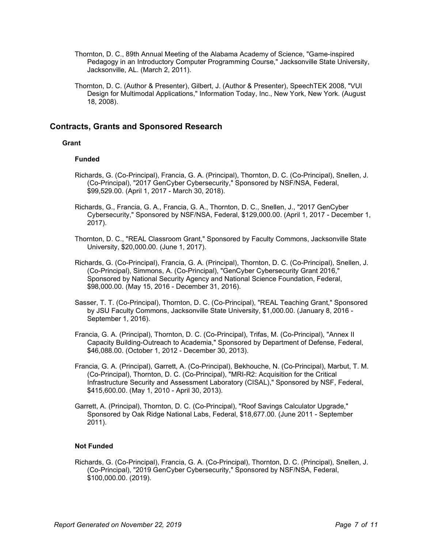- Thornton, D. C., 89th Annual Meeting of the Alabama Academy of Science, "Game-inspired Pedagogy in an Introductory Computer Programming Course," Jacksonville State University, Jacksonville, AL. (March 2, 2011).
- Thornton, D. C. (Author & Presenter), Gilbert, J. (Author & Presenter), SpeechTEK 2008, "VUI Design for Multimodal Applications," Information Today, Inc., New York, New York. (August 18, 2008).

# Contracts, Grants and Sponsored Research

### **Grant**

### Funded

- Richards, G. (Co-Principal), Francia, G. A. (Principal), Thornton, D. C. (Co-Principal), Snellen, J. (Co-Principal), "2017 GenCyber Cybersecurity," Sponsored by NSF/NSA, Federal, \$99,529.00. (April 1, 2017 - March 30, 2018).
- Richards, G., Francia, G. A., Francia, G. A., Thornton, D. C., Snellen, J., "2017 GenCyber Cybersecurity," Sponsored by NSF/NSA, Federal, \$129,000.00. (April 1, 2017 - December 1, 2017).
- Thornton, D. C., "REAL Classroom Grant," Sponsored by Faculty Commons, Jacksonville State University, \$20,000.00. (June 1, 2017).
- Richards, G. (Co-Principal), Francia, G. A. (Principal), Thornton, D. C. (Co-Principal), Snellen, J. (Co-Principal), Simmons, A. (Co-Principal), "GenCyber Cybersecurity Grant 2016," Sponsored by National Security Agency and National Science Foundation, Federal, \$98,000.00. (May 15, 2016 - December 31, 2016).
- Sasser, T. T. (Co-Principal), Thornton, D. C. (Co-Principal), "REAL Teaching Grant," Sponsored by JSU Faculty Commons, Jacksonville State University, \$1,000.00. (January 8, 2016 - September 1, 2016).
- Francia, G. A. (Principal), Thornton, D. C. (Co-Principal), Trifas, M. (Co-Principal), "Annex II Capacity Building-Outreach to Academia," Sponsored by Department of Defense, Federal, \$46,088.00. (October 1, 2012 - December 30, 2013).
- Francia, G. A. (Principal), Garrett, A. (Co-Principal), Bekhouche, N. (Co-Principal), Marbut, T. M. (Co-Principal), Thornton, D. C. (Co-Principal), "MRI-R2: Acquisition for the Critical Infrastructure Security and Assessment Laboratory (CISAL)," Sponsored by NSF, Federal, \$415,600.00. (May 1, 2010 - April 30, 2013).
- Garrett, A. (Principal), Thornton, D. C. (Co-Principal), "Roof Savings Calculator Upgrade," Sponsored by Oak Ridge National Labs, Federal, \$18,677.00. (June 2011 - September 2011).

### Not Funded

Richards, G. (Co-Principal), Francia, G. A. (Co-Principal), Thornton, D. C. (Principal), Snellen, J. (Co-Principal), "2019 GenCyber Cybersecurity," Sponsored by NSF/NSA, Federal, \$100,000.00. (2019).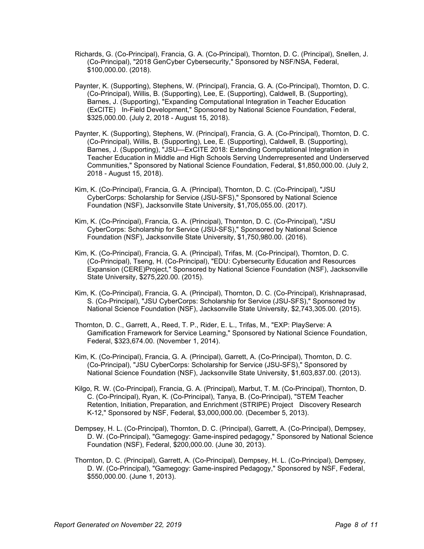- Richards, G. (Co-Principal), Francia, G. A. (Co-Principal), Thornton, D. C. (Principal), Snellen, J. (Co-Principal), "2018 GenCyber Cybersecurity," Sponsored by NSF/NSA, Federal, \$100,000.00. (2018).
- Paynter, K. (Supporting), Stephens, W. (Principal), Francia, G. A. (Co-Principal), Thornton, D. C. (Co-Principal), Willis, B. (Supporting), Lee, E. (Supporting), Caldwell, B. (Supporting), Barnes, J. (Supporting), "Expanding Computational Integration in Teacher Education (ExCITE) In-Field Development," Sponsored by National Science Foundation, Federal, \$325,000.00. (July 2, 2018 - August 15, 2018).
- Paynter, K. (Supporting), Stephens, W. (Principal), Francia, G. A. (Co-Principal), Thornton, D. C. (Co-Principal), Willis, B. (Supporting), Lee, E. (Supporting), Caldwell, B. (Supporting), Barnes, J. (Supporting), "JSU—ExCITE 2018: Extending Computational Integration in Teacher Education in Middle and High Schools Serving Underrepresented and Underserved Communities," Sponsored by National Science Foundation, Federal, \$1,850,000.00. (July 2, 2018 - August 15, 2018).
- Kim, K. (Co-Principal), Francia, G. A. (Principal), Thornton, D. C. (Co-Principal), "JSU CyberCorps: Scholarship for Service (JSU-SFS)," Sponsored by National Science Foundation (NSF), Jacksonville State University, \$1,705,055.00. (2017).
- Kim, K. (Co-Principal), Francia, G. A. (Principal), Thornton, D. C. (Co-Principal), "JSU CyberCorps: Scholarship for Service (JSU-SFS)," Sponsored by National Science Foundation (NSF), Jacksonville State University, \$1,750,980.00. (2016).
- Kim, K. (Co-Principal), Francia, G. A. (Principal), Trifas, M. (Co-Principal), Thornton, D. C. (Co-Principal), Tseng, H. (Co-Principal), "EDU: Cybersecurity Education and Resources Expansion (CERE)Project," Sponsored by National Science Foundation (NSF), Jacksonville State University, \$275,220.00. (2015).
- Kim, K. (Co-Principal), Francia, G. A. (Principal), Thornton, D. C. (Co-Principal), Krishnaprasad, S. (Co-Principal), "JSU CyberCorps: Scholarship for Service (JSU-SFS)," Sponsored by National Science Foundation (NSF), Jacksonville State University, \$2,743,305.00. (2015).
- Thornton, D. C., Garrett, A., Reed, T. P., Rider, E. L., Trifas, M., "EXP: PlayServe: A Gamification Framework for Service Learning," Sponsored by National Science Foundation, Federal, \$323,674.00. (November 1, 2014).
- Kim, K. (Co-Principal), Francia, G. A. (Principal), Garrett, A. (Co-Principal), Thornton, D. C. (Co-Principal), "JSU CyberCorps: Scholarship for Service (JSU-SFS)," Sponsored by National Science Foundation (NSF), Jacksonville State University, \$1,603,837.00. (2013).
- Kilgo, R. W. (Co-Principal), Francia, G. A. (Principal), Marbut, T. M. (Co-Principal), Thornton, D. C. (Co-Principal), Ryan, K. (Co-Principal), Tanya, B. (Co-Principal), "STEM Teacher Retention, Initiation, Preparation, and Enrichment (STRIPE) Project Discovery Research K-12," Sponsored by NSF, Federal, \$3,000,000.00. (December 5, 2013).
- Dempsey, H. L. (Co-Principal), Thornton, D. C. (Principal), Garrett, A. (Co-Principal), Dempsey, D. W. (Co-Principal), "Gamegogy: Game-inspired pedagogy," Sponsored by National Science Foundation (NSF), Federal, \$200,000.00. (June 30, 2013).
- Thornton, D. C. (Principal), Garrett, A. (Co-Principal), Dempsey, H. L. (Co-Principal), Dempsey, D. W. (Co-Principal), "Gamegogy: Game-inspired Pedagogy," Sponsored by NSF, Federal, \$550,000.00. (June 1, 2013).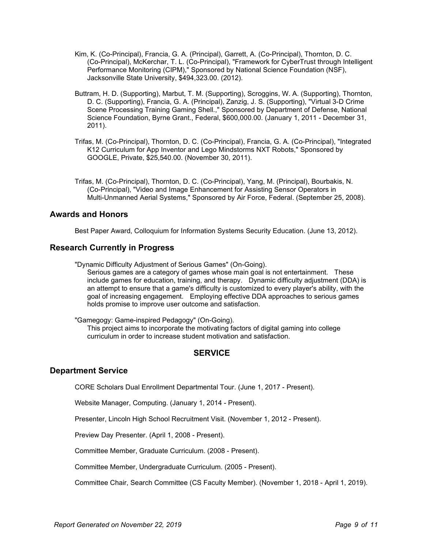- Kim, K. (Co-Principal), Francia, G. A. (Principal), Garrett, A. (Co-Principal), Thornton, D. C. (Co-Principal), McKerchar, T. L. (Co-Principal), "Framework for CyberTrust through Intelligent Performance Monitoring (CIPM)," Sponsored by National Science Foundation (NSF), Jacksonville State University, \$494,323.00. (2012).
- Buttram, H. D. (Supporting), Marbut, T. M. (Supporting), Scroggins, W. A. (Supporting), Thornton, D. C. (Supporting), Francia, G. A. (Principal), Zanzig, J. S. (Supporting), "Virtual 3-D Crime Scene Processing Training Gaming Shell.," Sponsored by Department of Defense, National Science Foundation, Byrne Grant., Federal, \$600,000.00. (January 1, 2011 - December 31, 2011).
- Trifas, M. (Co-Principal), Thornton, D. C. (Co-Principal), Francia, G. A. (Co-Principal), "Integrated K12 Curriculum for App Inventor and Lego Mindstorms NXT Robots," Sponsored by GOOGLE, Private, \$25,540.00. (November 30, 2011).
- Trifas, M. (Co-Principal), Thornton, D. C. (Co-Principal), Yang, M. (Principal), Bourbakis, N. (Co-Principal), "Video and Image Enhancement for Assisting Sensor Operators in Multi-Unmanned Aerial Systems," Sponsored by Air Force, Federal. (September 25, 2008).

# Awards and Honors

Best Paper Award, Colloquium for Information Systems Security Education. (June 13, 2012).

# Research Currently in Progress

"Dynamic Difficulty Adjustment of Serious Games" (On-Going).

Serious games are a category of games whose main goal is not entertainment. These include games for education, training, and therapy. Dynamic difficulty adjustment (DDA) is an attempt to ensure that a game's difficulty is customized to every player's ability, with the goal of increasing engagement. Employing effective DDA approaches to serious games holds promise to improve user outcome and satisfaction.

"Gamegogy: Game-inspired Pedagogy" (On-Going).

This project aims to incorporate the motivating factors of digital gaming into college curriculum in order to increase student motivation and satisfaction.

# **SERVICE**

### Department Service

CORE Scholars Dual Enrollment Departmental Tour. (June 1, 2017 - Present).

Website Manager, Computing. (January 1, 2014 - Present).

Presenter, Lincoln High School Recruitment Visit. (November 1, 2012 - Present).

Preview Day Presenter. (April 1, 2008 - Present).

Committee Member, Graduate Curriculum. (2008 - Present).

Committee Member, Undergraduate Curriculum. (2005 - Present).

Committee Chair, Search Committee (CS Faculty Member). (November 1, 2018 - April 1, 2019).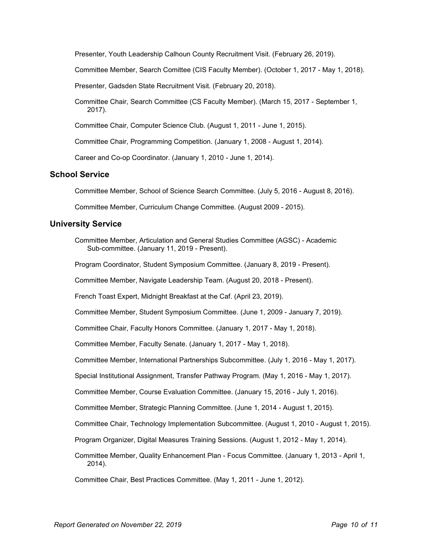Presenter, Youth Leadership Calhoun County Recruitment Visit. (February 26, 2019).

Committee Member, Search Comittee (CIS Faculty Member). (October 1, 2017 - May 1, 2018).

Presenter, Gadsden State Recruitment Visit. (February 20, 2018).

Committee Chair, Search Committee (CS Faculty Member). (March 15, 2017 - September 1, 2017).

Committee Chair, Computer Science Club. (August 1, 2011 - June 1, 2015).

Committee Chair, Programming Competition. (January 1, 2008 - August 1, 2014).

Career and Co-op Coordinator. (January 1, 2010 - June 1, 2014).

# School Service

Committee Member, School of Science Search Committee. (July 5, 2016 - August 8, 2016).

Committee Member, Curriculum Change Committee. (August 2009 - 2015).

### University Service

Committee Member, Articulation and General Studies Committee (AGSC) - Academic Sub-committee. (January 11, 2019 - Present).

Program Coordinator, Student Symposium Committee. (January 8, 2019 - Present).

Committee Member, Navigate Leadership Team. (August 20, 2018 - Present).

French Toast Expert, Midnight Breakfast at the Caf. (April 23, 2019).

Committee Member, Student Symposium Committee. (June 1, 2009 - January 7, 2019).

Committee Chair, Faculty Honors Committee. (January 1, 2017 - May 1, 2018).

Committee Member, Faculty Senate. (January 1, 2017 - May 1, 2018).

Committee Member, International Partnerships Subcommittee. (July 1, 2016 - May 1, 2017).

Special Institutional Assignment, Transfer Pathway Program. (May 1, 2016 - May 1, 2017).

Committee Member, Course Evaluation Committee. (January 15, 2016 - July 1, 2016).

Committee Member, Strategic Planning Committee. (June 1, 2014 - August 1, 2015).

Committee Chair, Technology Implementation Subcommittee. (August 1, 2010 - August 1, 2015).

Program Organizer, Digital Measures Training Sessions. (August 1, 2012 - May 1, 2014).

Committee Member, Quality Enhancement Plan - Focus Committee. (January 1, 2013 - April 1, 2014).

Committee Chair, Best Practices Committee. (May 1, 2011 - June 1, 2012).